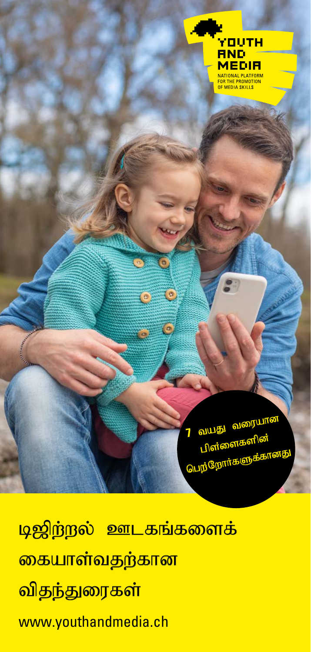

வயது வரையான<br>பிள்ளைகளின் பெற்றோர்களு

<mark>டிஜிற்றல் ஊடகங்களைக்</mark> <mark>கையாள்வதற்கான</mark> <mark>விதந்துரைகள்</mark> www.youthandmedia.ch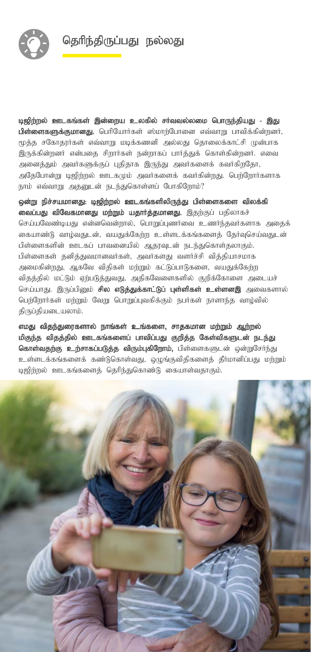

டிஜிற்றல் ஊடகங்கள் இன்றைய உலகில் சர்வவல்லமை பொருந்தியது - இது பிள்ளைகளுக்குமானது. பெரியோர்கள் ஸ்மாற்போனை எவ்வாறு பாவிக்கின்றனர், மூத்த சகோதரர்கள் எவ்வாறு மடிக்கணனி அல்லது தொலைக்காட்சி முன்பாக .<br>இருக்கின்றனர் என்பதை சிறார்கள் நன்றாகப் பார்த்துக் கொள்கின்றனர். எவை அனைத்தும் அவர்களுக்குப் புதிதாக இருந்து அவர்களைக் கவர்கிறதோ, அதேபோன்று டிஜிற்றல் ஊடகமும் அவர்களைக் கவர்கின்றது. பெற்றோர்களாக நாம் எவ்வாறு அதனுடன் நடந்துகொள்ளப் போகிறோம்?

ஒன்று நிச்சயமானது: டிஜிற்றல் ஊடகங்களிலிருந்து பிள்ளைகளை விலக்கி வைப்பது விவேகமானது மற்றும் யதார்த்தமானது. இதற்குப் பதிலாகச் செய்யவேண்டியது என்னவென்றால், பொறுப்புணர்வை உணர்ந்தவர்களாக அதைக் கையாண்டு வாழ்வதுடன், வயதுக்கேற்ற உள்ளடக்கங்களைத் தேர்வுசெய்வதுடன் பிள்ளைகளின் ஊடகப் பாவனையில் ஆதரவுடன் நடந்துகொள்தலாகும். பிள்ளைகள் தனித்துவமானவர்கள், அவர்களது வளர்ச்சி வித்தியாசமாக அமைகின்றது, ஆகவே விதிகள் மற்றும் கட்டுப்பாடுகளை, வயதுக்கேற்ற விதத்தில் மட்டும் ஏற்படுத்துவது, அதிகவேளைகளில் குறிக்கோளை அடையச் செய்யாது. இருப்பினும் **சில எடுத்துக்காட்டுப் புள்ளிகள் உள்ளனஇ** அவைகளால் பெற்றோர்கள் மற்றும் வேறு பொறுப்புவகிக்கும் நபர்கள் நாளாந்த வாழ்வில் திருப்தியடையலாம்.

எமது விதந்துரைகளால் நாங்கள் உங்களை, சாதகமான மற்றும் ஆற்றல் மிகுந்த விதத்தில் ஊடகங்களைப் பாவிப்பது குறித்த கேள்விகளுடன் நடந்து கொள்வதற்கு உற்சாகப்படுத்த விரும்புகிறோம், பிள்ளைகளுடன் ஒன்றுசேர்ந்து உள்ளடக்கங்களைக் கண்டுகொள்வது, ஒழுங்குவிதிகளைத் தீர்மானிப்பது மற்றும் டிஜிர்றல் ஊடகங்களைத் தெரிந்துகொண்டு கையாள்வதாகும்.

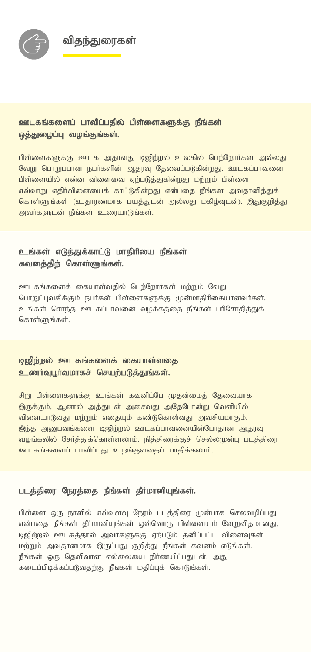



# ஊடகங்களைப் பாவிப்பதில் பிள்ளைகளுக்கு நீங்கள் லக்குமைப்பு வமங்குங்கள்.

<mark>பிள்ளைகளுக்கு ஊடக அதாவது டிஜிற்றல் உ</mark>லகில் பெற்றோர்கள் அல்லது வேறு பொறுப்பான நபர்களின் ஆதரவு தேவைப்படுகின்றது. ஊடகப்பாவனை பிள்ளையில் என்ன விளைவை ஏற்படுத்துகின்றது மற்றும் பிள்ளை எவ்வாறு எதிர்வினையைக் காட்டுகின்றது என்பதை நீங்கள் அவதானித்துக் கொள்ளுங்கள் (உதாரணமாக பயத்துடன் அல்லது மகிழ்வுடன்). இதுகுறித்து அவர்களுடன் நீங்கள் உரையாடுங்கள்.

## உங்கள் எடுத்துக்காட்டு மாதிரியை நீங்கள் கவனத்திற் கொள்ளுங்கள்.

ஊடகங்களைக் கையாள்வதில் பெற்றோர்கள் மற்றும் வேறு பொறுப்புவகிக்கும் நபர்கள் பிள்ளைகளுக்கு முன்மாதிரிகையானவர்கள். உங்கள் சொந்த ஊடகப்பாவனை வழக்கக்கை நீங்கள் பரிசோகிக்குக் கொள்ளுங்கள்.

### **டிஜிர்ருல் ஊடகங்களைக் கையாள்வகை** உணர்வுபூர்வமாகச் செயற்படுத்துங்கள்.

சிறு பிள்ளைகளுக்கு உங்கள் கவனிப்பே முதன்மைத் தேவையாக இருக்கும், ஆனால் அத்துடன் அசைவது அதேபோன்று வெளியில் விளையாடுவது மற்றும் எதையும் கண்டுகொள்வது அவசியமாகும். இந்த அறுபவங்களை டிஜிற்றல் ஊடகப்பாவனையின்போதான ஆதரவு வழங்கலில் சேர்த்துக்கொள்ளலாம். நித்திரைக்குச் செல்லமுன்பு படத்திரை ஊடகங்களைப் பாவிப்பது உறங்குவதைப் பாதிக்கலாம்.

#### படத்திரை நேரத்தை நீங்கள் தீர்மானியுங்கள்.

பிள்ளை ஒரு நாளில் எவ்வளவு நேரம் படத்திரை முன்பாக செலவழிப்பது என்பதை நீங்கள் தீர்மானியுங்கள் ஒவ்வொரு பிள்ளையும் வேறுவிதமானது, டிஜிற்றல் ஊடகத்தால் அவர்களுக்கு ஏற்படும் தனிப்பட்ட விளைவுகள் மற்றும் அவதானமாக இருப்பது குறித்து நீங்கள் கவனம் எடுங்கள். நீங்கள் ஒரு தெளிவான எல்லையை நிர்ணயிப்பதுடன், அது கடைப்பிடிக்கப்படுவதற்கு நீங்கள் மதிப்புக் கொடுங்கள்.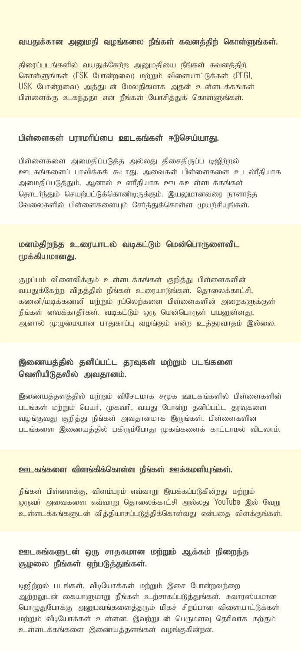#### வயதுக்கான அனுமதி வழங்கலை நீங்கள் கவனத்திற் கொள்ளுங்கள்.

திரைப்படங்களில் வயதுக்கேற்ற அனுமதியை நீங்கள் கவனத்திற் கொள்ளுங்கள் (FSK போன்றவை) மற்றும் விளையாட்டுக்கள் (PEGI, USK போன்றவை) அத்துடன் மேலதிகமாக அதன் உள்ளடக்கங்கள் பிள்ளைக்கு உகந்ததா என நீங்கள் யோசித்துக் கொள்ளுங்கள்.

#### பிள்ளைகள் பராமரிப்பை ஊடகங்கள் ஈடுசெய்யாது.

பிள்ளைகளை அமைதிப்படுத்த அல்லது திசைதிருப்ப டிஜிந்நல் ஊடகங்களைப் பாவிக்கக் கூடாது. அவைகள் பிள்ளைகளை உடல்ரீதியாக அமைதிப்படுத்தும், ஆனால் உளரீதியாக ஊடகஉள்ளடக்கங்கள் தொடர்ந்தும் செயற்பட்டுக்கொண்டிருக்கும். இயலுமானவரை நாளாந்த வேலைகளில் பிள்ளைகளையும் சேர்த்துக்கொள்ள முயற்சியுங்கள்.

### மனம்திறந்த உரையாடல் வடிகட்டும் மென்பொருளைவிட முக்கியமானகு.

குழப்பம் விளைவிக்கும் உள்ளடக்கங்கள் குறித்து பிள்ளைகளின் வயதுக்கேற்ற விதத்தில் நீங்கள் உரையாடுங்கள். தொலைக்காட்சி, கணனி/மடிக்கணனி மர்ரும் ரப்லெர்களை பிள்ளைகளின் அறைகளுக்குள் நீங்கள் வைக்காதீர்கள். வடிகட்டும் ஒரு மென்பொருள் பயனுள்ளது, ஆனால் முழுமையான பாதுகாப்பு வழங்கும் என்ற உத்தரவாதம் இல்லை.

# இணையத்தில் தனிப்பட்ட தரவுகள் மற்றும் படங்களை வெளியிடுதலில் அவதானம்.

இணையத்தளத்தில் மற்றும் விசேடமாக சமூக ஊடகங்களில் பிள்ளைகளின் படங்கள் மற்றும் பெயர். முகவரி, வயகு போன்ற கனிப்பட்ட காவகளை வழங்குவது குறித்து நீங்கள் அவதானமாக இருங்கள். பிள்ளைகளின படங்களை இணையத்தில் பகிரும்போது முகங்களைக் காட்டாமல் விடலாம்.

#### ஊடகங்களை விளங்கிக்கொள்ள நீங்கள் ஊக்கமளியங்கள்.

நீங்கள் பிள்ளைக்கு, விளம்பரம் எவ்வாறு இயக்கப்படுகின்றது மற்றும் ஒருவர் அவைகளை எவ்வாறு தொலைக்காட்சி அல்லது YouTube இல் வேறு உள்ளடக்கங்களுடன் வித்தியாசப்படுத்திக்கொள்வது என்பதை விளக்குங்கள்.

# ஊடகங்களுடன் ஒரு சாதகமான மற்றும் ஆக்கம் நிறைந்த சூழலை நீங்கள் ஏற்படுத்துங்கள்.

டிஜிர்ருல் படங்கள், வீடியோக்கள் மர்ரும் இசை போன்றவர்ளை ஆற்றலுடன் கையாளுமாறு நீங்கள் உற்சாகப்படுத்துங்கள். சுவாரஸ்யமான பொழுதுபோக்கு அனுபவங்களைத்தரும் மிகச் சிறப்பான விளையாட்டுக்கள் மற்றும் வீடியோக்கள் உள்ளன. இவற்றுடன் பெருமளவு தெரிவாக கற்கும் உள்ளடக்கங்களை இணையத்தளங்கள் வழங்குகின்றன.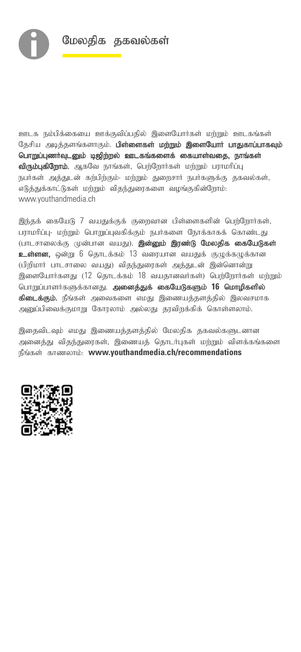

ஊடக நம்பிக்கையை ஊக்குவிப்பதில் இளையோர்கள் மற்றும் ஊடகங்கள் தேசிய அடித்தளங்களாகும். பிள்ளைகள் மற்றும் இளையோர் பாதுகாப்பாகவும் பொறுப்புணர்வுடனும் டிஜிற்றல் ஊடகங்களைக் கையாள்வதை, நாங்கள் விரும்புகிறோம். ஆகவே நாங்கள், பெற்றோர்கள் மற்றும் பராமரிப்பு நபர்கள் அத்துடன் கற்பிற்கும்- மற்றும் துறைசார் நபர்களுக்கு தகவல்கள், எடுத்துக்காட்டுகள் மற்றும் விதந்துரைகளை வழங்குகின்றோம்: www.youthandmedia.ch

இந்தக் கையேடு 7 வயதுக்குக் குறைவான பிள்ளைகளின் பெற்றோர்கள், பராமரிப்பு- மற்றும் பொறுப்புவகிக்கும் நபர்களை நோக்காகக் கொண்டது (பாடசாலைக்கு முன்பான வயது). **இன்னும் இரண்டு மேலதிக கையேடுகள்** உள்ளன, ஒன்று 6 தொடக்கம் 13 வரையான வயதுக் குழுக்கழுக்கான (பிறிமார் பாடசாலை வயது) விதந்துரைகள் அத்துடன் இன்னொன்று இளையோர்களது (12 தொடக்கம் 18 வயதானவர்கள்) பெற்றோர்கள் மற்றும் பொறுப்பாளர்களுக்கானது. அனைத்துக் கையேடுகளும் 16 மொழிகளில் **கிடைக்கும்.** நீங்கள் அவைகளை எமது இணையத்தளத்தில் இலவசமாக அறுப்பிவைக்குமாறு கோரலாம் அல்லது தரவிறக்கிக் கொள்ளலாம்.

இதைவிடவும் எமது இணையத்தளத்தில் மேலதிக தகவல்களுடனான அனைத்து விதந்துரைகள், இணையத் தொடர்புகள் மற்றும் விளக்கங்களை நீங்கள் காணலாம்: www.youthandmedia.ch/recommendations